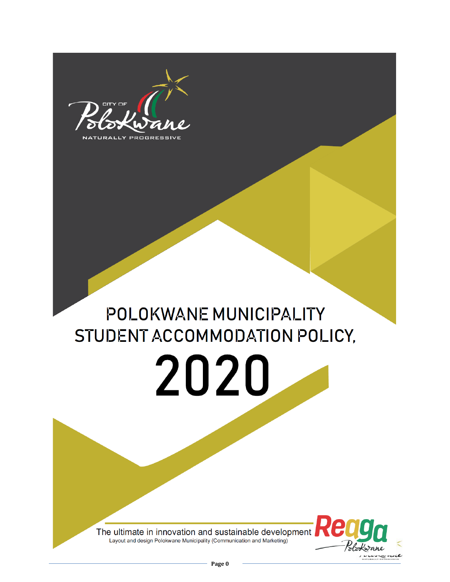

# POLOKWANE MUNICIPALITY STUDENT ACCOMMODATION POLICY,

2020



The ultimate in innovation and sustainable development Layout and design Polokwane Municipality (Communication and Marketing)

**Polokwane student accommodation Policy, 2019**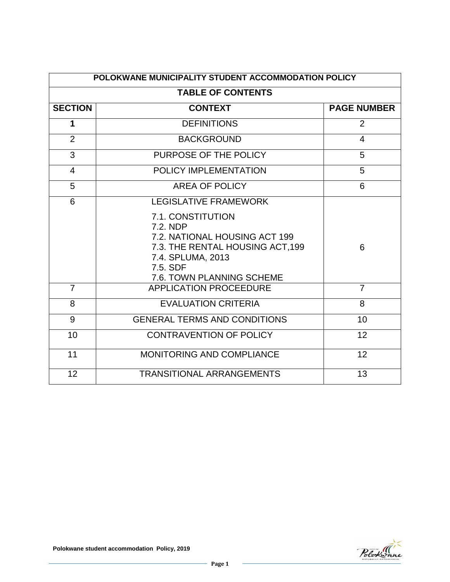| POLOKWANE MUNICIPALITY STUDENT ACCOMMODATION POLICY<br><b>TABLE OF CONTENTS</b> |                                                                                                                                                                  |                |  |  |
|---------------------------------------------------------------------------------|------------------------------------------------------------------------------------------------------------------------------------------------------------------|----------------|--|--|
|                                                                                 |                                                                                                                                                                  |                |  |  |
| 1                                                                               | <b>DEFINITIONS</b>                                                                                                                                               | 2              |  |  |
| 2                                                                               | <b>BACKGROUND</b>                                                                                                                                                | $\overline{4}$ |  |  |
| 3                                                                               | PURPOSE OF THE POLICY<br>5                                                                                                                                       |                |  |  |
| 4                                                                               | POLICY IMPLEMENTATION                                                                                                                                            | 5              |  |  |
| 5                                                                               | <b>AREA OF POLICY</b>                                                                                                                                            | 6              |  |  |
| 6                                                                               | <b>LEGISLATIVE FRAMEWORK</b>                                                                                                                                     |                |  |  |
|                                                                                 | 7.1. CONSTITUTION<br>7.2. NDP<br>7.2. NATIONAL HOUSING ACT 199<br>7.3. THE RENTAL HOUSING ACT, 199<br>7.4. SPLUMA, 2013<br>7.5. SDF<br>7.6. TOWN PLANNING SCHEME | 6              |  |  |
| $\overline{7}$                                                                  | <b>APPLICATION PROCEEDURE</b>                                                                                                                                    | $\overline{7}$ |  |  |
| 8                                                                               | <b>EVALUATION CRITERIA</b>                                                                                                                                       | 8              |  |  |
| 9                                                                               | <b>GENERAL TERMS AND CONDITIONS</b>                                                                                                                              | 10             |  |  |
| 10                                                                              | <b>CONTRAVENTION OF POLICY</b>                                                                                                                                   | 12             |  |  |
| 11                                                                              | <b>MONITORING AND COMPLIANCE</b><br>12                                                                                                                           |                |  |  |
| 12                                                                              | <b>TRANSITIONAL ARRANGEMENTS</b>                                                                                                                                 | 13             |  |  |

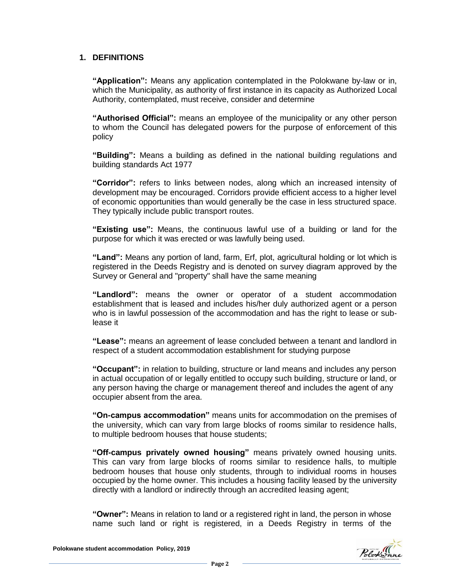#### **1. DEFINITIONS**

**"Application":** Means any application contemplated in the Polokwane by-law or in, which the Municipality, as authority of first instance in its capacity as Authorized Local Authority, contemplated, must receive, consider and determine

**"Authorised Official":** means an employee of the municipality or any other person to whom the Council has delegated powers for the purpose of enforcement of this policy

**"Building":** Means a building as defined in the national building regulations and building standards Act 1977

**"Corridor":** refers to links between nodes, along which an increased intensity of development may be encouraged. Corridors provide efficient access to a higher level of economic opportunities than would generally be the case in less structured space. They typically include public transport routes.

**"Existing use":** Means, the continuous lawful use of a building or land for the purpose for which it was erected or was lawfully being used.

**"Land":** Means any portion of land, farm, Erf, plot, agricultural holding or lot which is registered in the Deeds Registry and is denoted on survey diagram approved by the Survey or General and "property" shall have the same meaning

**"Landlord":** means the owner or operator of a student accommodation establishment that is leased and includes his/her duly authorized agent or a person who is in lawful possession of the accommodation and has the right to lease or sublease it

**"Lease":** means an agreement of lease concluded between a tenant and landlord in respect of a student accommodation establishment for studying purpose

**"Occupant":** in relation to building, structure or land means and includes any person in actual occupation of or legally entitled to occupy such building, structure or land, or any person having the charge or management thereof and includes the agent of any occupier absent from the area.

**"On-campus accommodation"** means units for accommodation on the premises of the university, which can vary from large blocks of rooms similar to residence halls, to multiple bedroom houses that house students;

**"Off-campus privately owned housing"** means privately owned housing units. This can vary from large blocks of rooms similar to residence halls, to multiple bedroom houses that house only students, through to individual rooms in houses occupied by the home owner. This includes a housing facility leased by the university directly with a landlord or indirectly through an accredited leasing agent;

**"Owner":** Means in relation to land or a registered right in land, the person in whose name such land or right is registered, in a Deeds Registry in terms of the

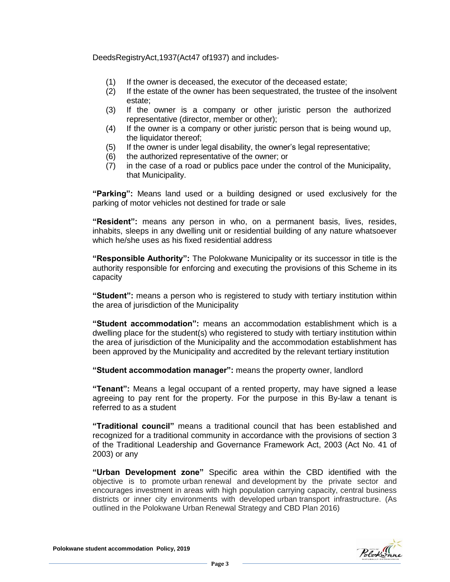DeedsRegistryAct,1937(Act47 of1937) and includes-

- (1) If the owner is deceased, the executor of the deceased estate;
- (2) If the estate of the owner has been sequestrated, the trustee of the insolvent estate;
- (3) If the owner is a company or other juristic person the authorized representative (director, member or other);
- (4) If the owner is a company or other juristic person that is being wound up, the liquidator thereof;
- (5) If the owner is under legal disability, the owner's legal representative;
- (6) the authorized representative of the owner; or
- (7) in the case of a road or publics pace under the control of the Municipality, that Municipality.

**"Parking":** Means land used or a building designed or used exclusively for the parking of motor vehicles not destined for trade or sale

**"Resident":** means any person in who, on a permanent basis, lives, resides, inhabits, sleeps in any dwelling unit or residential building of any nature whatsoever which he/she uses as his fixed residential address

**"Responsible Authority":** The Polokwane Municipality or its successor in title is the authority responsible for enforcing and executing the provisions of this Scheme in its capacity

**"Student":** means a person who is registered to study with tertiary institution within the area of jurisdiction of the Municipality

**"Student accommodation":** means an accommodation establishment which is a dwelling place for the student(s) who registered to study with tertiary institution within the area of jurisdiction of the Municipality and the accommodation establishment has been approved by the Municipality and accredited by the relevant tertiary institution

**"Student accommodation manager":** means the property owner, landlord

**"Tenant":** Means a legal occupant of a rented property, may have signed a lease agreeing to pay rent for the property. For the purpose in this By-law a tenant is referred to as a student

**"Traditional council"** means a traditional council that has been established and recognized for a traditional community in accordance with the provisions of section 3 of the Traditional Leadership and Governance Framework Act, 2003 (Act No. 41 of 2003) or any

**"Urban Development zone"** Specific area within the CBD identified with the objective is to promote urban renewal and development by the private sector and encourages investment in areas with high population carrying capacity, central business districts or inner city environments with developed urban transport infrastructure. (As outlined in the Polokwane Urban Renewal Strategy and CBD Plan 2016)

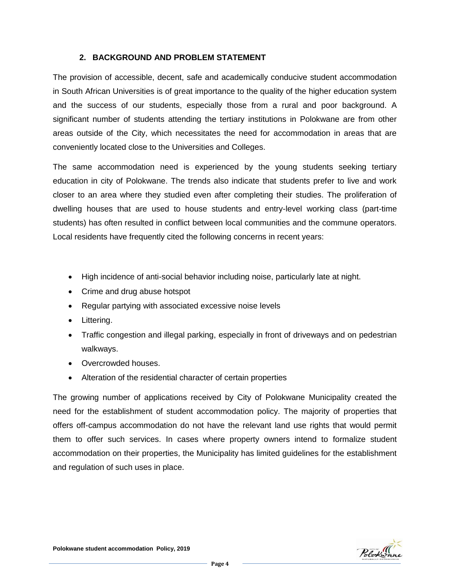#### **2. BACKGROUND AND PROBLEM STATEMENT**

The provision of accessible, decent, safe and academically conducive student accommodation in South African Universities is of great importance to the quality of the higher education system and the success of our students, especially those from a rural and poor background. A significant number of students attending the tertiary institutions in Polokwane are from other areas outside of the City, which necessitates the need for accommodation in areas that are conveniently located close to the Universities and Colleges.

The same accommodation need is experienced by the young students seeking tertiary education in city of Polokwane. The trends also indicate that students prefer to live and work closer to an area where they studied even after completing their studies. The proliferation of dwelling houses that are used to house students and entry-level working class (part-time students) has often resulted in conflict between local communities and the commune operators. Local residents have frequently cited the following concerns in recent years:

- High incidence of anti-social behavior including noise, particularly late at night.
- Crime and drug abuse hotspot
- Regular partying with associated excessive noise levels
- Littering.
- Traffic congestion and illegal parking, especially in front of driveways and on pedestrian walkways.
- Overcrowded houses.
- Alteration of the residential character of certain properties

The growing number of applications received by City of Polokwane Municipality created the need for the establishment of student accommodation policy. The majority of properties that offers off-campus accommodation do not have the relevant land use rights that would permit them to offer such services. In cases where property owners intend to formalize student accommodation on their properties, the Municipality has limited guidelines for the establishment and regulation of such uses in place.

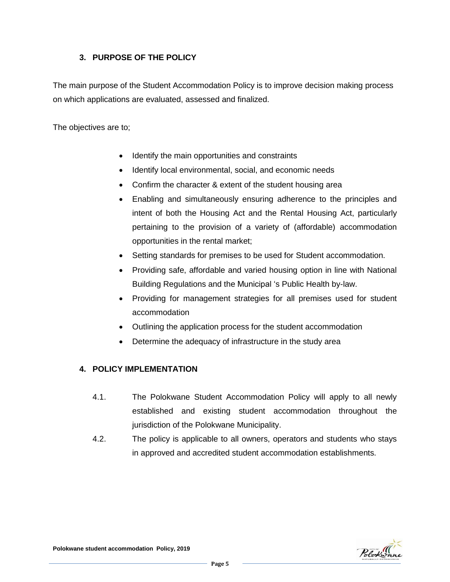# **3. PURPOSE OF THE POLICY**

The main purpose of the Student Accommodation Policy is to improve decision making process on which applications are evaluated, assessed and finalized.

The objectives are to;

- Identify the main opportunities and constraints
- Identify local environmental, social, and economic needs
- Confirm the character & extent of the student housing area
- Enabling and simultaneously ensuring adherence to the principles and intent of both the Housing Act and the Rental Housing Act, particularly pertaining to the provision of a variety of (affordable) accommodation opportunities in the rental market;
- Setting standards for premises to be used for Student accommodation.
- Providing safe, affordable and varied housing option in line with National Building Regulations and the Municipal 's Public Health by-law.
- Providing for management strategies for all premises used for student accommodation
- Outlining the application process for the student accommodation
- Determine the adequacy of infrastructure in the study area

#### **4. POLICY IMPLEMENTATION**

- 4.1. The Polokwane Student Accommodation Policy will apply to all newly established and existing student accommodation throughout the jurisdiction of the Polokwane Municipality.
- 4.2. The policy is applicable to all owners, operators and students who stays in approved and accredited student accommodation establishments.

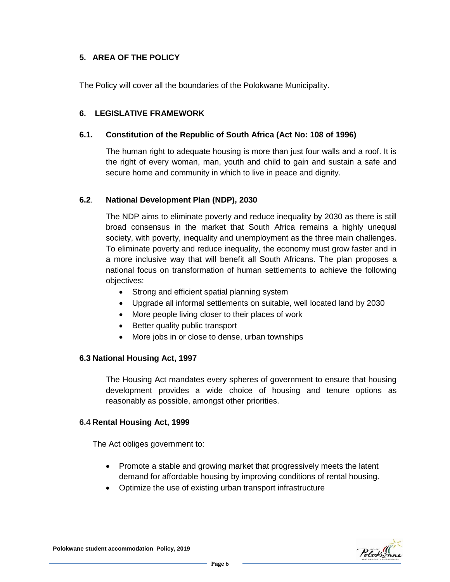# **5. AREA OF THE POLICY**

The Policy will cover all the boundaries of the Polokwane Municipality.

#### **6. LEGISLATIVE FRAMEWORK**

#### **6.1. Constitution of the Republic of South Africa (Act No: 108 of 1996)**

The human right to adequate housing is more than just four walls and a roof. It is the right of every woman, man, youth and child to gain and sustain a safe and secure home and community in which to live in peace and dignity.

#### **6.2**. **National Development Plan (NDP), 2030**

The NDP aims to eliminate poverty and reduce inequality by 2030 as there is still broad consensus in the market that South Africa remains a highly unequal society, with poverty, inequality and unemployment as the three main challenges. To eliminate poverty and reduce inequality, the economy must grow faster and in a more inclusive way that will benefit all South Africans. The plan proposes a national focus on transformation of human settlements to achieve the following objectives:

- Strong and efficient spatial planning system
- Upgrade all informal settlements on suitable, well located land by 2030
- More people living closer to their places of work
- Better quality public transport
- More jobs in or close to dense, urban townships

#### **6.3 National Housing Act, 1997**

The Housing Act mandates every spheres of government to ensure that housing development provides a wide choice of housing and tenure options as reasonably as possible, amongst other priorities.

#### **6.4 Rental Housing Act, 1999**

The Act obliges government to:

- Promote a stable and growing market that progressively meets the latent demand for affordable housing by improving conditions of rental housing.
- Optimize the use of existing urban transport infrastructure



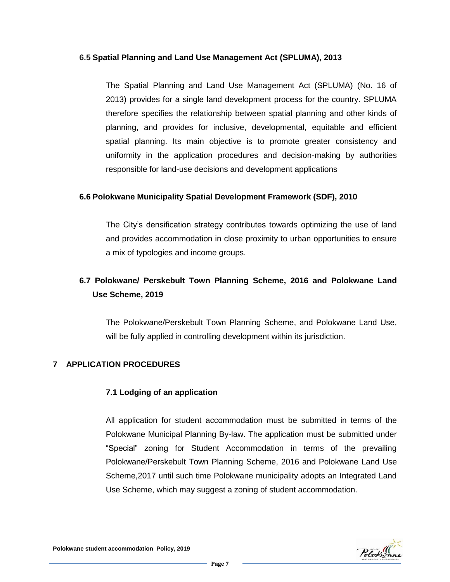#### **6.5 Spatial Planning and Land Use Management Act (SPLUMA), 2013**

The Spatial Planning and Land Use Management Act (SPLUMA) (No. 16 of 2013) provides for a single land development process for the country. SPLUMA therefore specifies the relationship between spatial planning and other kinds of planning, and provides for inclusive, developmental, equitable and efficient spatial planning. Its main objective is to promote greater consistency and uniformity in the application procedures and decision-making by authorities responsible for land-use decisions and development applications

#### **6.6 Polokwane Municipality Spatial Development Framework (SDF), 2010**

The City's densification strategy contributes towards optimizing the use of land and provides accommodation in close proximity to urban opportunities to ensure a mix of typologies and income groups.

# **6.7 Polokwane/ Perskebult Town Planning Scheme, 2016 and Polokwane Land Use Scheme, 2019**

The Polokwane/Perskebult Town Planning Scheme, and Polokwane Land Use, will be fully applied in controlling development within its jurisdiction.

#### **7 APPLICATION PROCEDURES**

#### **7.1 Lodging of an application**

All application for student accommodation must be submitted in terms of the Polokwane Municipal Planning By-law. The application must be submitted under "Special" zoning for Student Accommodation in terms of the prevailing Polokwane/Perskebult Town Planning Scheme, 2016 and Polokwane Land Use Scheme,2017 until such time Polokwane municipality adopts an Integrated Land Use Scheme, which may suggest a zoning of student accommodation.

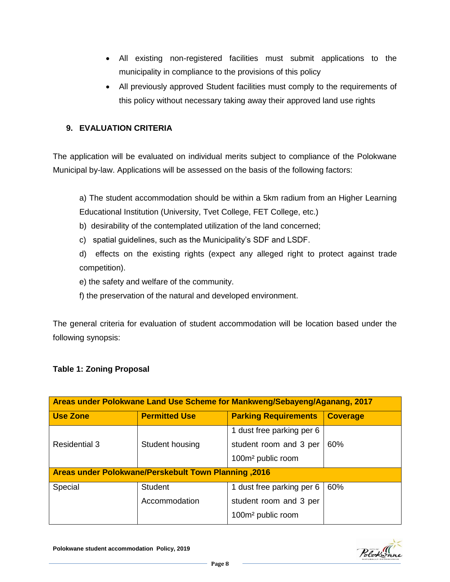- All existing non-registered facilities must submit applications to the municipality in compliance to the provisions of this policy
- All previously approved Student facilities must comply to the requirements of this policy without necessary taking away their approved land use rights

# **9. EVALUATION CRITERIA**

The application will be evaluated on individual merits subject to compliance of the Polokwane Municipal by-law. Applications will be assessed on the basis of the following factors:

a) The student accommodation should be within a 5km radium from an Higher Learning Educational Institution (University, Tvet College, FET College, etc.)

- b) desirability of the contemplated utilization of the land concerned;
- c) spatial guidelines, such as the Municipality's SDF and LSDF.
- d) effects on the existing rights (expect any alleged right to protect against trade competition).

e) the safety and welfare of the community.

f) the preservation of the natural and developed environment.

The general criteria for evaluation of student accommodation will be location based under the following synopsis:

#### **Table 1: Zoning Proposal**

| Areas under Polokwane Land Use Scheme for Mankweng/Sebayeng/Aganang, 2017 |                      |                               |                 |  |  |  |  |
|---------------------------------------------------------------------------|----------------------|-------------------------------|-----------------|--|--|--|--|
| <b>Use Zone</b>                                                           | <b>Permitted Use</b> | <b>Parking Requirements</b>   | <b>Coverage</b> |  |  |  |  |
|                                                                           |                      | 1 dust free parking per 6     | 60%             |  |  |  |  |
| <b>Residential 3</b>                                                      | Student housing      | student room and 3 per        |                 |  |  |  |  |
|                                                                           |                      | 100m <sup>2</sup> public room |                 |  |  |  |  |
| <b>Areas under Polokwane/Perskebult Town Planning ,2016</b>               |                      |                               |                 |  |  |  |  |
| Special                                                                   | <b>Student</b>       | 1 dust free parking per 6     | 60%             |  |  |  |  |
|                                                                           | Accommodation        | student room and 3 per        |                 |  |  |  |  |
|                                                                           |                      | 100m <sup>2</sup> public room |                 |  |  |  |  |



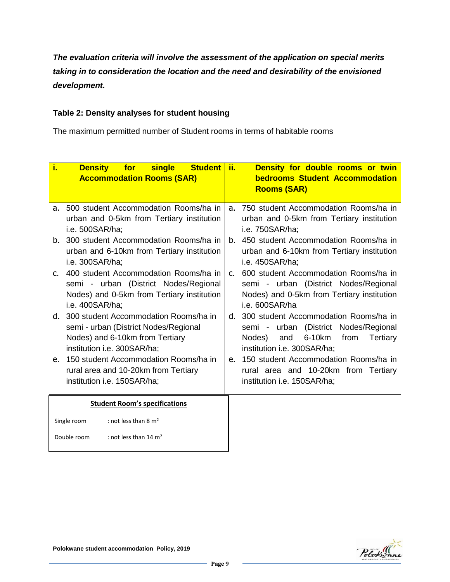*The evaluation criteria will involve the assessment of the application on special merits taking in to consideration the location and the need and desirability of the envisioned development.*

#### **Table 2: Density analyses for student housing**

The maximum permitted number of Student rooms in terms of habitable rooms

| i.                                                                                                                                                     | <b>Density</b><br>single<br>Student ii.<br>for<br><b>Accommodation Rooms (SAR)</b>                                                              |                | Density for double rooms or twin<br><b>bedrooms Student Accommodation</b><br><b>Rooms (SAR)</b>                                                                 |
|--------------------------------------------------------------------------------------------------------------------------------------------------------|-------------------------------------------------------------------------------------------------------------------------------------------------|----------------|-----------------------------------------------------------------------------------------------------------------------------------------------------------------|
|                                                                                                                                                        | 500 student Accommodation Rooms/ha in<br>а.<br>urban and 0-5km from Tertiary institution<br>i.e. 500SAR/ha;                                     |                | 750 student Accommodation Rooms/ha in<br>urban and 0-5km from Tertiary institution<br>i.e. 750SAR/ha;                                                           |
| 300 student Accommodation Rooms/ha in<br>b.<br>urban and 6-10km from Tertiary institution<br>i.e. 300SAR/ha;                                           |                                                                                                                                                 | b.             | 450 student Accommodation Rooms/ha in<br>urban and 6-10km from Tertiary institution<br>i.e. 450SAR/ha;                                                          |
| $\mathsf{C}$ .                                                                                                                                         | 400 student Accommodation Rooms/ha in<br>semi - urban (District Nodes/Regional<br>Nodes) and 0-5km from Tertiary institution<br>i.e. 400SAR/ha; | $\mathsf{C}$ . | 600 student Accommodation Rooms/ha in<br>semi - urban (District Nodes/Regional<br>Nodes) and 0-5km from Tertiary institution<br>i.e. 600SAR/ha                  |
| 300 student Accommodation Rooms/ha in<br>d.<br>semi - urban (District Nodes/Regional<br>Nodes) and 6-10km from Tertiary<br>institution i.e. 300SAR/ha; |                                                                                                                                                 |                | d. 300 student Accommodation Rooms/ha in<br>semi - urban (District Nodes/Regional<br>6-10km<br>and<br>from<br>Tertiary<br>Nodes)<br>institution i.e. 300SAR/ha; |
| 150 student Accommodation Rooms/ha in<br>e.<br>rural area and 10-20km from Tertiary<br>institution i.e. 150SAR/ha;                                     |                                                                                                                                                 | e.             | 150 student Accommodation Rooms/ha in<br>rural area and 10-20km from Tertiary<br>institution i.e. 150SAR/ha;                                                    |
| <b>Student Room's specifications</b>                                                                                                                   |                                                                                                                                                 |                |                                                                                                                                                                 |
|                                                                                                                                                        | : not less than 8 $m2$<br>Single room                                                                                                           |                |                                                                                                                                                                 |
| Double room<br>: not less than 14 m <sup>2</sup>                                                                                                       |                                                                                                                                                 |                |                                                                                                                                                                 |



**Polokwane student accommodation Policy, 2019**

 $N_{\rm B}$ : This must be read with gazette no: 39238: policy on the minimum norms and standards and standards and standards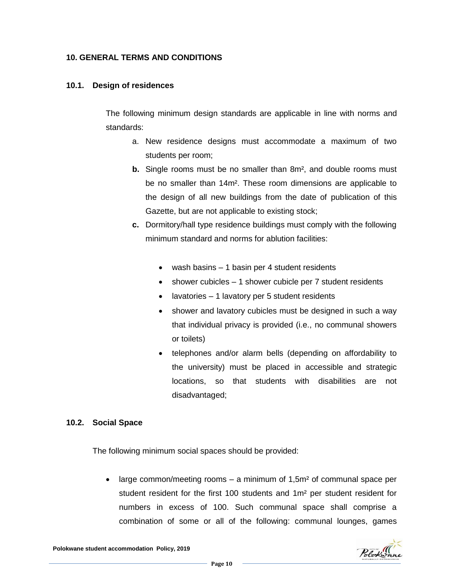#### **10. GENERAL TERMS AND CONDITIONS**

#### **10.1. Design of residences**

The following minimum design standards are applicable in line with norms and standards:

- a. New residence designs must accommodate a maximum of two students per room;
- **b.** Single rooms must be no smaller than 8m<sup>2</sup>, and double rooms must be no smaller than 14m². These room dimensions are applicable to the design of all new buildings from the date of publication of this Gazette, but are not applicable to existing stock;
- **c.** Dormitory/hall type residence buildings must comply with the following minimum standard and norms for ablution facilities:
	- wash basins 1 basin per 4 student residents
	- shower cubicles 1 shower cubicle per 7 student residents
	- lavatories 1 lavatory per 5 student residents
	- shower and lavatory cubicles must be designed in such a way that individual privacy is provided (i.e., no communal showers or toilets)
	- telephones and/or alarm bells (depending on affordability to the university) must be placed in accessible and strategic locations, so that students with disabilities are not disadvantaged;

#### **10.2. Social Space**

The following minimum social spaces should be provided:

• large common/meeting rooms – a minimum of  $1,5m^2$  of communal space per student resident for the first 100 students and 1m² per student resident for numbers in excess of 100. Such communal space shall comprise a combination of some or all of the following: communal lounges, games



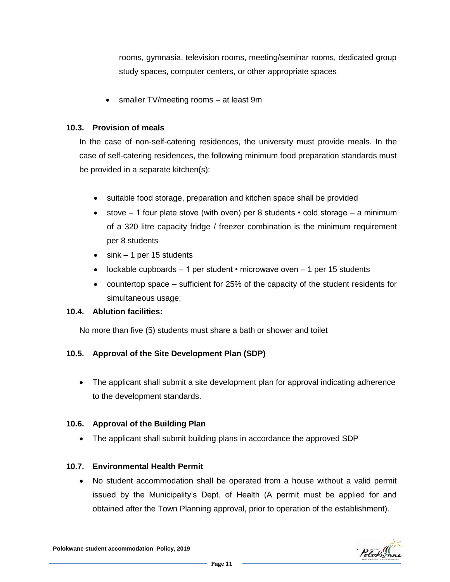rooms, gymnasia, television rooms, meeting/seminar rooms, dedicated group study spaces, computer centers, or other appropriate spaces

• smaller TV/meeting rooms – at least 9m

# **10.3. Provision of meals**

In the case of non-self-catering residences, the university must provide meals. In the case of self-catering residences, the following minimum food preparation standards must be provided in a separate kitchen(s):

- suitable food storage, preparation and kitchen space shall be provided
- stove  $-1$  four plate stove (with oven) per 8 students cold storage  $-$  a minimum of a 320 litre capacity fridge / freezer combination is the minimum requirement per 8 students
- $\bullet$  sink 1 per 15 students
- lockable cupboards  $-1$  per student  $\cdot$  microwave oven  $-1$  per 15 students
- countertop space sufficient for 25% of the capacity of the student residents for simultaneous usage;

#### **10.4. Ablution facilities:**

No more than five (5) students must share a bath or shower and toilet

#### **10.5. Approval of the Site Development Plan (SDP)**

 The applicant shall submit a site development plan for approval indicating adherence to the development standards.

#### **10.6. Approval of the Building Plan**

The applicant shall submit building plans in accordance the approved SDP

#### **10.7. Environmental Health Permit**

 No student accommodation shall be operated from a house without a valid permit issued by the Municipality's Dept. of Health (A permit must be applied for and obtained after the Town Planning approval, prior to operation of the establishment).

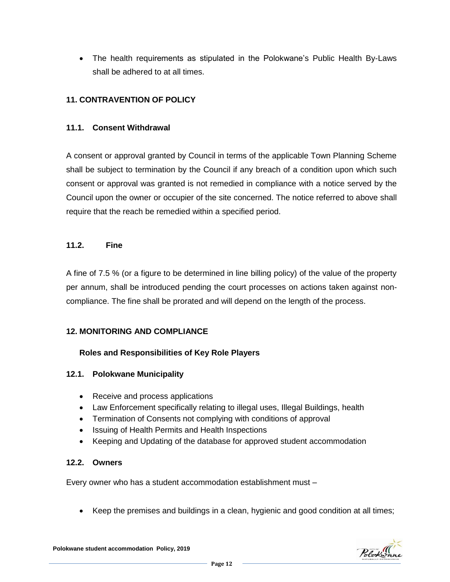The health requirements as stipulated in the Polokwane's Public Health By-Laws shall be adhered to at all times.

# **11. CONTRAVENTION OF POLICY**

# **11.1. Consent Withdrawal**

A consent or approval granted by Council in terms of the applicable Town Planning Scheme shall be subject to termination by the Council if any breach of a condition upon which such consent or approval was granted is not remedied in compliance with a notice served by the Council upon the owner or occupier of the site concerned. The notice referred to above shall require that the reach be remedied within a specified period.

#### **11.2. Fine**

A fine of 7.5 % (or a figure to be determined in line billing policy) of the value of the property per annum, shall be introduced pending the court processes on actions taken against noncompliance. The fine shall be prorated and will depend on the length of the process.

#### **12. MONITORING AND COMPLIANCE**

#### **Roles and Responsibilities of Key Role Players**

#### **12.1. Polokwane Municipality**

- Receive and process applications
- Law Enforcement specifically relating to illegal uses, Illegal Buildings, health
- Termination of Consents not complying with conditions of approval
- Issuing of Health Permits and Health Inspections
- Keeping and Updating of the database for approved student accommodation

#### **12.2. Owners**

Every owner who has a student accommodation establishment must –

Keep the premises and buildings in a clean, hygienic and good condition at all times;